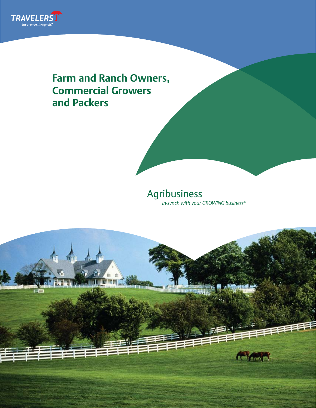

# **Farm and Ranch Owners, Commercial Growers and Packers**

## Agribusiness *In-synch with your GROWING business*®

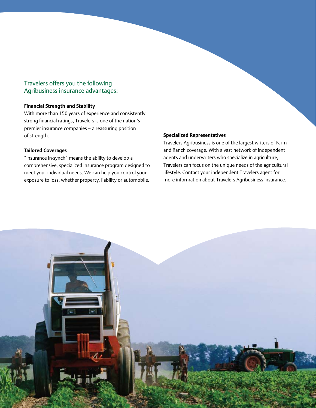### Travelers offers you the following Agribusiness insurance advantages:

#### **Financial Strength and Stability**

With more than 150 years of experience and consistently strong financial ratings, Travelers is one of the nation's premier insurance companies – a reassuring position of strength.

#### **Tailored Coverages**

"Insurance in-synch" means the ability to develop a comprehensive, specialized insurance program designed to meet your individual needs. We can help you control your exposure to loss, whether property, liability or automobile.

#### **Specialized Representatives**

Travelers Agribusiness is one of the largest writers of Farm and Ranch coverage. With a vast network of independent agents and underwriters who specialize in agriculture, Travelers can focus on the unique needs of the agricultural lifestyle. Contact your independent Travelers agent for more information about Travelers Agribusiness insurance.

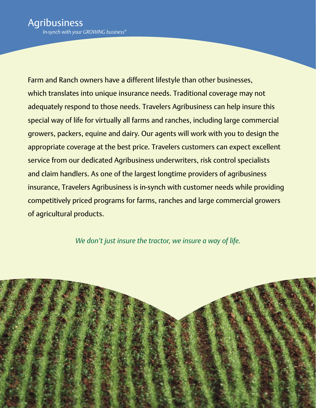Farm and Ranch owners have a different lifestyle than other businesses, which translates into unique insurance needs. Traditional coverage may not adequately respond to those needs. Travelers Agribusiness can help insure this special way of life for virtually all farms and ranches, including large commercial growers, packers, equine and dairy. Our agents will work with you to design the appropriate coverage at the best price. Travelers customers can expect excellent service from our dedicated Agribusiness underwriters, risk control specialists and claim handlers. As one of the largest longtime providers of agribusiness insurance, Travelers Agribusiness is in-synch with customer needs while providing competitively priced programs for farms, ranches and large commercial growers of agricultural products.

*We don't just insure the tractor, we insure a way of life.*

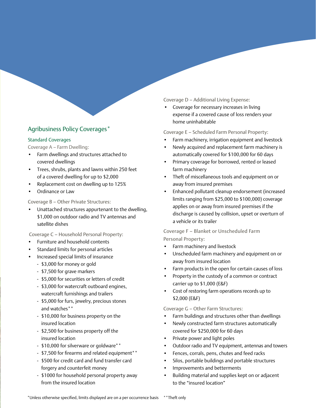## Agribusiness Policy Coverages\*

#### Standard Coverages

Coverage A – Farm Dwelling:

- Farm dwellings and structures attached to covered dwellings
- Trees, shrubs, plants and lawns within 250 feet of a covered dwelling for up to \$2,000
- Replacement cost on dwelling up to 125%
- Ordinance or Law

Coverage B – Other Private Structures:

• Unattached structures appurtenant to the dwelling, \$1,000 on outdoor radio and TV antennas and satellite dishes

Coverage C – Household Personal Property:

- Furniture and household contents
- Standard limits for personal articles
- Increased special limits of insurance
	- \$3,000 for money or gold
	- \$7,500 for grave markers
	- \$5,000 for securities or letters of credit
	- \$3,000 for watercraft outboard engines, watercraft furnishings and trailers
	- \$5,000 for furs, jewelry, precious stones and watches\*\*
	- \$10,000 for business property on the insured location
	- \$2,500 for business property off the insured location
	- \$10,000 for silverware or goldware\*\*
	- \$7,500 for firearms and related equipment\*\*
	- \$500 for credit card and fund transfer card forgery and counterfeit money
	- \$1000 for household personal property away from the insured location

Coverage D – Additional Living Expense:

• Coverage for necessary increases in living expense if a covered cause of loss renders your home uninhabitable

Coverage E – Scheduled Farm Personal Property:

- Farm machinery, irrigation equipment and livestock
- Newly acquired and replacement farm machinery is automatically covered for \$100,000 for 60 days
- Primary coverage for borrowed, rented or leased farm machinery
- Theft of miscellaneous tools and equipment on or away from insured premises
- • Enhanced pollutant cleanup endorsement (increased limits ranging from \$25,000 to \$100,000) coverage applies on or away from insured premises if the discharge is caused by collision, upset or overturn of a vehicle or its trailer

Coverage F – Blanket or Unscheduled Farm Personal Property:

- Farm machinery and livestock
- • Unscheduled farm machinery and equipment on or away from insured location
- Farm products in the open for certain causes of loss
- Property in the custody of a common or contract carrier up to \$1,000 (E&F)
- Cost of restoring farm operations records up to \$2,000 (E&F)

Coverage G – Other Farm Structures:

- Farm buildings and structures other than dwellings
- • Newly constructed farm structures automatically covered for \$250,000 for 60 days
- • Private power and light poles
- • Outdoor radio and TV equipment, antennas and towers
- • Fences, corrals, pens, chutes and feed racks
- Silos, portable buildings and portable structures
- Improvements and betterments
- Building material and supplies kept on or adjacent to the "insured location"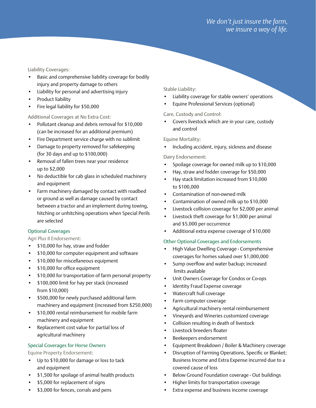Liability Coverages:

- Basic and comprehensive liability coverage for bodily injury and property damage to others
- • Liability for personal and advertising injury
- Product liability
- Fire legal liability for \$50,000

Additional Coverages at No Extra Cost:

- Pollutant cleanup and debris removal for \$10,000 (can be increased for an additional premium)
- Fire Department service charge with no sublimit
- Damage to property removed for safekeeping (for 30 days and up to \$100,000)
- • Removal of fallen trees near your residence up to \$2,000
- No deductible for cab glass in scheduled machinery and equipment
- Farm machinery damaged by contact with roadbed or ground as well as damage caused by contact between a tractor and an implement during towing, hitching or unhitching operations when Special Perils are selected

#### Optional Coverages

Agri Plus II Endorsement:

- \$10,000 for hay, straw and fodder
- \$10,000 for computer equipment and software
- • \$10,000 for miscellaneous equipment
- • \$10,000 for office equipment
- • \$10,000 for transportation of farm personal property
- • \$100,000 limit for hay per stack (increased from \$10,000)
- \$500,000 for newly purchased additional farm machinery and equipment (increased from \$250,000)
- \$10,000 rental reimbursement for mobile farm machinery and equipment
- Replacement cost value for partial loss of agricultural machinery

#### Special Coverages for Horse Owners

Equine Property Endorsement:

- • Up to \$10,000 for damage or loss to tack and equipment
- • \$1,500 for spoilage of animal health products
- \$5,000 for replacement of signs
- \$3,000 for fences, corrals and pens

Stable Liability:

- • Liability coverage for stable owners' operations
- Equine Professional Services (optional)

#### Care, Custody and Control:

• Covers livestock which are in your care, custody and control

Equine Mortality:

Including accident, injury, sickness and disease

Dairy Endorsement:

- • Spoilage coverage for owned milk up to \$10,000
- • Hay, straw and fodder coverage for \$50,000
- Hay stack limitation increased from \$10,000 to \$100,000
- • Contamination of non-owned milk
- Contamination of owned milk up to \$10,000
- • Livestock collision coverage for \$2,000 per animal
- • Livestock theft coverage for \$1,000 per animal and \$5,000 per occurrence
- • Additional extra expense coverage of \$10,000

#### Other Optional Coverages and Endorsements

- High Value Dwelling Coverage Comprehensive coverages for homes valued over \$1,000,000
- • Sump overflow and water backup; increased limits available
- Unit Owners Coverage for Condos or Co-ops
- • Identity Fraud Expense coverage
- • Watercraft hull coverage
- Farm computer coverage
- • Agricultural machinery rental reimbursement
- Vineyards and Wineries customized coverage
- • Collision resulting in death of livestock
- • Livestock breeders floater
- Beekeepers endorsement
- Equipment Breakdown / Boiler & Machinery coverage
- • Disruption of Farming Operations, Specific or Blanket; Business Income and Extra Expense incurred due to a covered cause of loss
- Below Ground Foundation coverage Out buildings
- Higher limits for transportation coverage
- • Extra expense and business income coverage